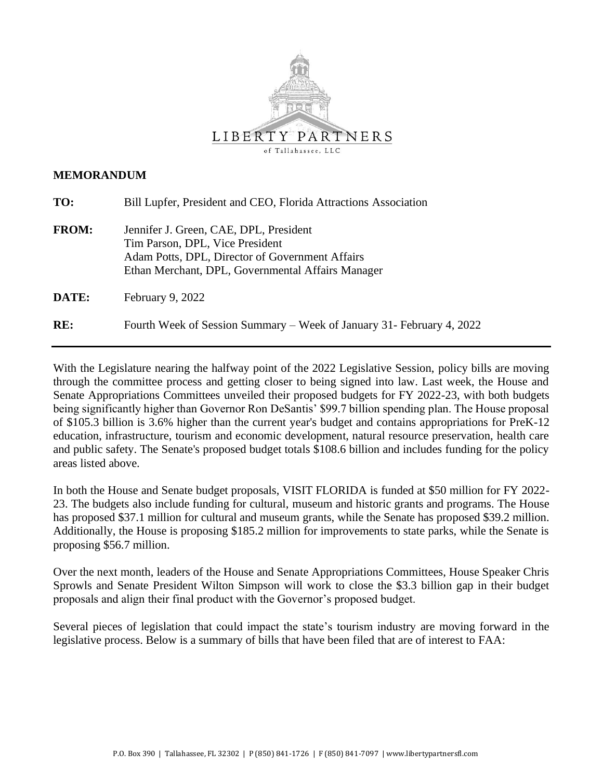

### **MEMORANDUM**

| TO:          | Bill Lupfer, President and CEO, Florida Attractions Association                                                                                                                   |  |
|--------------|-----------------------------------------------------------------------------------------------------------------------------------------------------------------------------------|--|
| <b>FROM:</b> | Jennifer J. Green, CAE, DPL, President<br>Tim Parson, DPL, Vice President<br>Adam Potts, DPL, Director of Government Affairs<br>Ethan Merchant, DPL, Governmental Affairs Manager |  |
| DATE:        | February 9, 2022                                                                                                                                                                  |  |
| RE:          | Fourth Week of Session Summary – Week of January 31- February 4, 2022                                                                                                             |  |

With the Legislature nearing the halfway point of the 2022 Legislative Session, policy bills are moving through the committee process and getting closer to being signed into law. Last week, the House and Senate Appropriations Committees unveiled their proposed budgets for FY 2022-23, with both budgets being significantly higher than Governor Ron DeSantis' \$99.7 billion spending plan. The House proposal of \$105.3 billion is 3.6% higher than the current year's budget and contains appropriations for PreK-12 education, infrastructure, tourism and economic development, natural resource preservation, health care and public safety. The Senate's proposed budget totals \$108.6 billion and includes funding for the policy areas listed above.

In both the House and Senate budget proposals, VISIT FLORIDA is funded at \$50 million for FY 2022- 23. The budgets also include funding for cultural, museum and historic grants and programs. The House has proposed \$37.1 million for cultural and museum grants, while the Senate has proposed \$39.2 million. Additionally, the House is proposing \$185.2 million for improvements to state parks, while the Senate is proposing \$56.7 million.

Over the next month, leaders of the House and Senate Appropriations Committees, House Speaker Chris Sprowls and Senate President Wilton Simpson will work to close the \$3.3 billion gap in their budget proposals and align their final product with the Governor's proposed budget.

Several pieces of legislation that could impact the state's tourism industry are moving forward in the legislative process. Below is a summary of bills that have been filed that are of interest to FAA: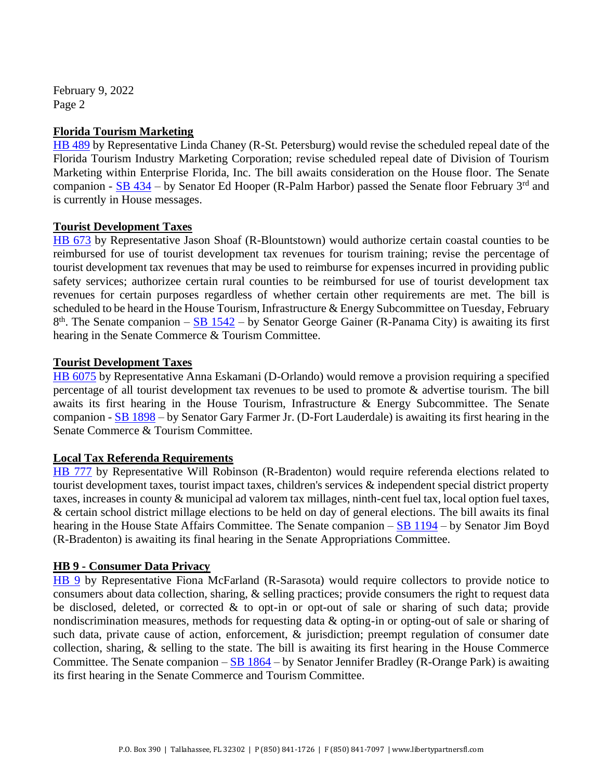February 9, 2022 Page 2

### **Florida Tourism Marketing**

[HB 489](https://www.myfloridahouse.gov/Sections/Bills/billsdetail.aspx?BillId=73966&SessionId=93) by Representative Linda Chaney (R-St. Petersburg) would revise the scheduled repeal date of the Florida Tourism Industry Marketing Corporation; revise scheduled repeal date of Division of Tourism Marketing within Enterprise Florida, Inc. The bill awaits consideration on the House floor. The Senate companion - [SB 434](https://www.flsenate.gov/Session/Bill/2022/434) – by Senator Ed Hooper (R-Palm Harbor) passed the Senate floor February  $3<sup>rd</sup>$  and is currently in House messages.

#### **Tourist Development Taxes**

[HB 673](https://www.myfloridahouse.gov/Sections/Bills/billsdetail.aspx?BillId=74794&SessionId=93) by Representative Jason Shoaf (R-Blountstown) would authorize certain coastal counties to be reimbursed for use of tourist development tax revenues for tourism training; revise the percentage of tourist development tax revenues that may be used to reimburse for expenses incurred in providing public safety services; authorizee certain rural counties to be reimbursed for use of tourist development tax revenues for certain purposes regardless of whether certain other requirements are met. The bill is scheduled to be heard in the House Tourism, Infrastructure & Energy Subcommittee on Tuesday, February  $8<sup>th</sup>$ . The Senate companion –  $\underline{SB}$  1542 – by Senator George Gainer (R-Panama City) is awaiting its first hearing in the Senate Commerce & Tourism Committee.

# **Tourist Development Taxes**

[HB 6075](https://www.myfloridahouse.gov/Sections/Bills/billsdetail.aspx?BillId=73902&SessionId=93) by Representative Anna Eskamani (D-Orlando) would remove a provision requiring a specified percentage of all tourist development tax revenues to be used to promote & advertise tourism. The bill awaits its first hearing in the House Tourism, Infrastructure & Energy Subcommittee. The Senate companion - [SB 1898](https://www.flsenate.gov/Session/Bill/2022/1898) – by Senator Gary Farmer Jr. (D-Fort Lauderdale) is awaiting its first hearing in the Senate Commerce & Tourism Committee.

# **Local Tax Referenda Requirements**

[HB 777](https://www.myfloridahouse.gov/Sections/Bills/billsdetail.aspx?BillId=75205&SessionId=93) by Representative Will Robinson (R-Bradenton) would require referenda elections related to tourist development taxes, tourist impact taxes, children's services & independent special district property taxes, increases in county & municipal ad valorem tax millages, ninth-cent fuel tax, local option fuel taxes, & certain school district millage elections to be held on day of general elections. The bill awaits its final hearing in the House State Affairs Committee. The Senate companion – [SB 1194](https://www.flsenate.gov/Session/Bill/2022/1194) – by Senator Jim Boyd (R-Bradenton) is awaiting its final hearing in the Senate Appropriations Committee.

# **HB 9 - Consumer Data Privacy**

[HB 9](https://www.myfloridahouse.gov/Sections/Bills/billsdetail.aspx?BillId=76556&SessionId=93) by Representative Fiona McFarland (R-Sarasota) would require collectors to provide notice to consumers about data collection, sharing, & selling practices; provide consumers the right to request data be disclosed, deleted, or corrected & to opt-in or opt-out of sale or sharing of such data; provide nondiscrimination measures, methods for requesting data & opting-in or opting-out of sale or sharing of such data, private cause of action, enforcement,  $\&$  jurisdiction; preempt regulation of consumer date collection, sharing, & selling to the state. The bill is awaiting its first hearing in the House Commerce Committee. The Senate companion –  $SB$  1864 – by Senator Jennifer Bradley (R-Orange Park) is awaiting its first hearing in the Senate Commerce and Tourism Committee.